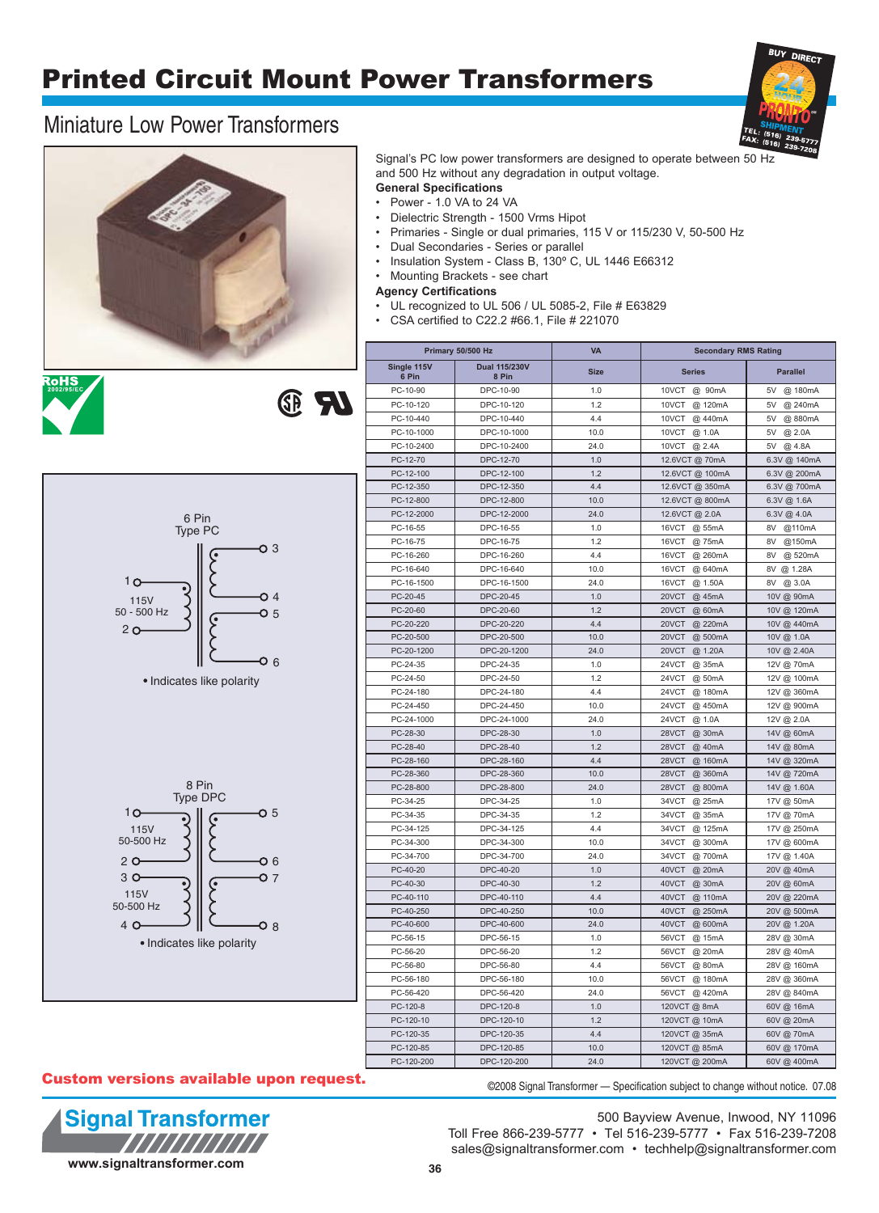# Printed Circuit Mount Power Transformers

### Miniature Low Power Transformers









Signal's PC low power transformers are designed to operate between 50 Hz and 500 Hz without any degradation in output voltage.

### **General Specifications**

- Power 1.0 VA to 24 VA
- Dielectric Strength 1500 Vrms Hipot
- Primaries Single or dual primaries, 115 V or 115/230 V, 50-500 Hz
- Dual Secondaries Series or parallel
- Insulation System Class B, 130º C, UL 1446 E66312
- Mounting Brackets see chart

**Agency Certifications**

- UL recognized to UL 506 / UL 5085-2, File # E63829
- CSA certified to C22.2 #66.1, File # 221070

|                      | Primary 50/500 Hz      | <b>VA</b>   |                  | <b>Secondary RMS Rating</b> |  |  |  |
|----------------------|------------------------|-------------|------------------|-----------------------------|--|--|--|
| Single 115V<br>6 Pin | Dual 115/230V<br>8 Pin | <b>Size</b> | <b>Series</b>    | <b>Parallel</b>             |  |  |  |
| PC-10-90             | DPC-10-90              | 1.0         | 10VCT<br>@ 90mA  | @ 180mA<br>5V               |  |  |  |
| PC-10-120            | DPC-10-120             | 1.2         | 10VCT<br>@ 120mA | 5V<br>@ 240mA               |  |  |  |
| PC-10-440            | DPC-10-440             | 4.4         | 10VCT<br>@ 440mA | 5V<br>@880mA                |  |  |  |
| PC-10-1000           | DPC-10-1000            | 10.0        | 10VCT<br>@ 1.0A  | 5V<br>@ 2.0A                |  |  |  |
| PC-10-2400           | DPC-10-2400            | 24.0        | 10VCT<br>@ 2.4A  | 5V<br>@ 4.8A                |  |  |  |
| PC-12-70             | DPC-12-70              | 1.0         | 12.6VCT @ 70mA   | 6.3V @ 140mA                |  |  |  |
| PC-12-100            | DPC-12-100             | 1.2         | 12.6VCT @ 100mA  | 6.3V @ 200mA                |  |  |  |
| PC-12-350            | DPC-12-350             | 4.4         | 12.6VCT @ 350mA  | 6.3V @ 700mA                |  |  |  |
| PC-12-800            | DPC-12-800             | 10.0        | 12.6VCT @ 800mA  | 6.3V @ 1.6A                 |  |  |  |
| PC-12-2000           | DPC-12-2000            | 24.0        | 12.6VCT @ 2.0A   | 6.3V @ 4.0A                 |  |  |  |
| PC-16-55             | DPC-16-55              | 1.0         | 16VCT<br>@ 55mA  | 8V<br>@110mA                |  |  |  |
| PC-16-75             | DPC-16-75              | 1.2         | 16VCT<br>@ 75mA  | @150mA<br>8V                |  |  |  |
| PC-16-260            | DPC-16-260             | 4.4         | 16VCT<br>@ 260mA | 8V<br>@ 520mA               |  |  |  |
| PC-16-640            | DPC-16-640             | 10.0        | 16VCT<br>@ 640mA | 8V @ 1.28A                  |  |  |  |
| PC-16-1500           | DPC-16-1500            | 24.0        | 16VCT<br>@ 1.50A | 8V<br>@ 3.0A                |  |  |  |
| PC-20-45             | DPC-20-45              | 1.0         | 20VCT<br>@ 45mA  | 10V @ 90mA                  |  |  |  |
| PC-20-60             | DPC-20-60              | 1.2         | 20VCT            | 10V @ 120mA                 |  |  |  |
| PC-20-220            | DPC-20-220             | 4.4         | @ 60mA<br>20VCT  |                             |  |  |  |
|                      |                        |             | @ 220mA          | 10V @ 440mA                 |  |  |  |
| PC-20-500            | DPC-20-500             | 10.0        | 20VCT<br>@ 500mA | 10V @ 1.0A                  |  |  |  |
| PC-20-1200           | DPC-20-1200            | 24.0        | 20VCT<br>@ 1.20A | 10V @ 2.40A                 |  |  |  |
| PC-24-35             | DPC-24-35              | 1.0         | 24VCT<br>@ 35mA  | 12V @ 70mA                  |  |  |  |
| PC-24-50             | DPC-24-50              | 1.2         | 24VCT<br>@ 50mA  | 12V @ 100mA                 |  |  |  |
| PC-24-180            | DPC-24-180             | 4.4         | 24VCT<br>@ 180mA | 12V @ 360mA                 |  |  |  |
| PC-24-450            | DPC-24-450             | 10.0        | 24VCT<br>@450mA  | 12V @ 900mA                 |  |  |  |
| PC-24-1000           | DPC-24-1000            | 24.0        | 24VCT<br>@ 1.0A  | 12V @ 2.0A                  |  |  |  |
| PC-28-30             | DPC-28-30              | 1.0         | 28VCT<br>@ 30mA  | 14V @ 60mA                  |  |  |  |
| PC-28-40             | DPC-28-40              | 1.2         | 28VCT<br>@ 40mA  | 14V @ 80mA                  |  |  |  |
| PC-28-160            | DPC-28-160             | 4.4         | 28VCT<br>@ 160mA | 14V @ 320mA                 |  |  |  |
| PC-28-360            | DPC-28-360             | 10.0        | 28VCT<br>@ 360mA | 14V @ 720mA                 |  |  |  |
| PC-28-800            | DPC-28-800             | 24.0        | 28VCT<br>@ 800mA | 14V @ 1.60A                 |  |  |  |
| PC-34-25             | DPC-34-25              | 1.0         | 34VCT<br>@ 25mA  | 17V @ 50mA                  |  |  |  |
| PC-34-35             | DPC-34-35              | 1.2         | 34VCT<br>@ 35mA  | 17V @ 70mA                  |  |  |  |
| PC-34-125            | DPC-34-125             | 4.4         | 34VCT<br>@ 125mA | 17V @ 250mA                 |  |  |  |
| PC-34-300            | DPC-34-300             | 10.0        | 34VCT<br>@ 300mA | 17V @ 600mA                 |  |  |  |
| PC-34-700            | DPC-34-700             | 24.0        | 34VCT<br>@700mA  | 17V @ 1.40A                 |  |  |  |
| PC-40-20             | DPC-40-20              | 1.0         | 40VCT<br>@ 20mA  | 20V @ 40mA                  |  |  |  |
| PC-40-30             | DPC-40-30              | 1.2         | 40VCT<br>@ 30mA  | 20V @ 60mA                  |  |  |  |
| PC-40-110            | DPC-40-110             | 4.4         | 40VCT<br>@ 110mA | 20V @ 220mA                 |  |  |  |
| PC-40-250            | DPC-40-250             | 10.0        | 40VCT<br>@ 250mA | 20V @ 500mA                 |  |  |  |
| PC-40-600            | DPC-40-600             | 24.0        | 40VCT<br>@ 600mA | 20V @ 1.20A                 |  |  |  |
| PC-56-15             | DPC-56-15              | 1.0         | 56VCT<br>@ 15mA  | 28V @ 30mA                  |  |  |  |
| PC-56-20             | DPC-56-20              | 1.2         | 56VCT<br>@ 20mA  | 28V @ 40mA                  |  |  |  |
| PC-56-80             | DPC-56-80              | 4.4         | 56VCT<br>@ 80mA  | 28V @ 160mA                 |  |  |  |
| PC-56-180            | DPC-56-180             | 10.0        | 56VCT<br>@ 180mA | 28V @ 360mA                 |  |  |  |
| PC-56-420            | DPC-56-420             | 24.0        | 56VCT<br>@ 420mA | 28V @ 840mA                 |  |  |  |
| PC-120-8             | DPC-120-8              | 1.0         | 120VCT @ 8mA     | 60V @ 16mA                  |  |  |  |
| PC-120-10            | DPC-120-10             | 1.2         | 120VCT @ 10mA    | 60V @ 20mA                  |  |  |  |
| PC-120-35            | DPC-120-35             | 4.4         | 120VCT @ 35mA    | 60V @ 70mA                  |  |  |  |
| PC-120-85            | DPC-120-85             | 10.0        | 120VCT @ 85mA    | 60V @ 170mA                 |  |  |  |
|                      |                        |             |                  |                             |  |  |  |

#### Custom versions available upon request.



500 Bayview Avenue, Inwood, NY 11096 Toll Free 866-239-5777 • Tel 516-239-5777 • Fax 516-239-7208 sales@signaltransformer.com • techhelp@signaltransformer.com

©2008 Signal Transformer — Specification subject to change without notice. 07.08